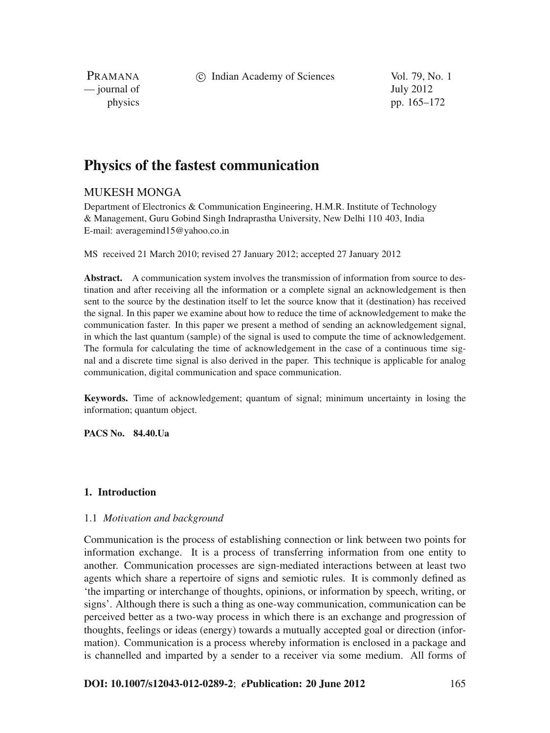c Indian Academy of Sciences Vol. 79, No. 1

PRAMANA — journal of July 2012

physics pp. 165–172

# **Physics of the fastest communication**

## MUKESH MONGA

Department of Electronics & Communication Engineering, H.M.R. Institute of Technology & Management, Guru Gobind Singh Indraprastha University, New Delhi 110 403, India E-mail: averagemind15@yahoo.co.in

MS received 21 March 2010; revised 27 January 2012; accepted 27 January 2012

**Abstract.** A communication system involves the transmission of information from source to destination and after receiving all the information or a complete signal an acknowledgement is then sent to the source by the destination itself to let the source know that it (destination) has received the signal. In this paper we examine about how to reduce the time of acknowledgement to make the communication faster. In this paper we present a method of sending an acknowledgement signal, in which the last quantum (sample) of the signal is used to compute the time of acknowledgement. The formula for calculating the time of acknowledgement in the case of a continuous time signal and a discrete time signal is also derived in the paper. This technique is applicable for analog communication, digital communication and space communication.

**Keywords.** Time of acknowledgement; quantum of signal; minimum uncertainty in losing the information; quantum object.

**PACS No. 84.40.Ua**

## **1. Introduction**

## 1.1 *Moti*v*ation and background*

Communication is the process of establishing connection or link between two points for information exchange. It is a process of transferring information from one entity to another. Communication processes are sign-mediated interactions between at least two agents which share a repertoire of signs and semiotic rules. It is commonly defined as 'the imparting or interchange of thoughts, opinions, or information by speech, writing, or signs'. Although there is such a thing as one-way communication, communication can be perceived better as a two-way process in which there is an exchange and progression of thoughts, feelings or ideas (energy) towards a mutually accepted goal or direction (information). Communication is a process whereby information is enclosed in a package and is channelled and imparted by a sender to a receiver via some medium. All forms of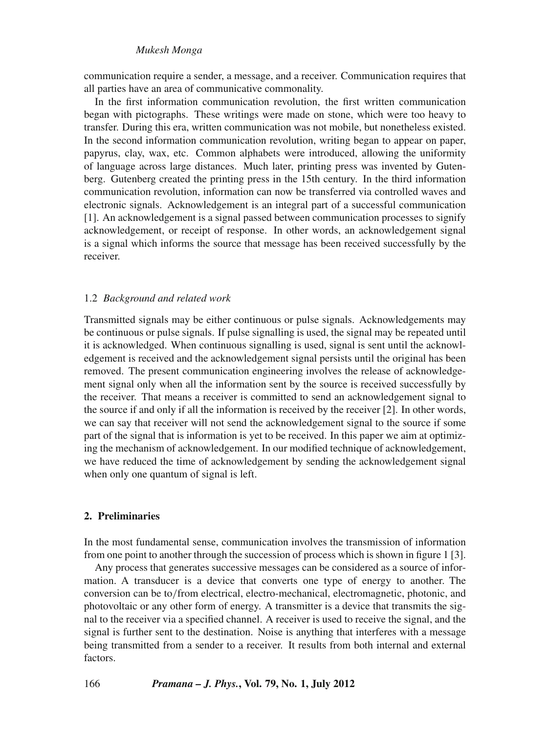#### *Mukesh Monga*

communication require a sender, a message, and a receiver. Communication requires that all parties have an area of communicative commonality.

In the first information communication revolution, the first written communication began with pictographs. These writings were made on stone, which were too heavy to transfer. During this era, written communication was not mobile, but nonetheless existed. In the second information communication revolution, writing began to appear on paper, papyrus, clay, wax, etc. Common alphabets were introduced, allowing the uniformity of language across large distances. Much later, printing press was invented by Gutenberg. Gutenberg created the printing press in the 15th century. In the third information communication revolution, information can now be transferred via controlled waves and electronic signals. Acknowledgement is an integral part of a successful communication [1]. An acknowledgement is a signal passed between communication processes to signify acknowledgement, or receipt of response. In other words, an acknowledgement signal is a signal which informs the source that message has been received successfully by the receiver.

#### 1.2 *Background and related work*

Transmitted signals may be either continuous or pulse signals. Acknowledgements may be continuous or pulse signals. If pulse signalling is used, the signal may be repeated until it is acknowledged. When continuous signalling is used, signal is sent until the acknowledgement is received and the acknowledgement signal persists until the original has been removed. The present communication engineering involves the release of acknowledgement signal only when all the information sent by the source is received successfully by the receiver. That means a receiver is committed to send an acknowledgement signal to the source if and only if all the information is received by the receiver [2]. In other words, we can say that receiver will not send the acknowledgement signal to the source if some part of the signal that is information is yet to be received. In this paper we aim at optimizing the mechanism of acknowledgement. In our modified technique of acknowledgement, we have reduced the time of acknowledgement by sending the acknowledgement signal when only one quantum of signal is left.

#### **2. Preliminaries**

In the most fundamental sense, communication involves the transmission of information from one point to another through the succession of process which is shown in figure 1 [3].

Any process that generates successive messages can be considered as a source of information. A transducer is a device that converts one type of energy to another. The conversion can be to/from electrical, electro-mechanical, electromagnetic, photonic, and photovoltaic or any other form of energy. A transmitter is a device that transmits the signal to the receiver via a specified channel. A receiver is used to receive the signal, and the signal is further sent to the destination. Noise is anything that interferes with a message being transmitted from a sender to a receiver. It results from both internal and external factors.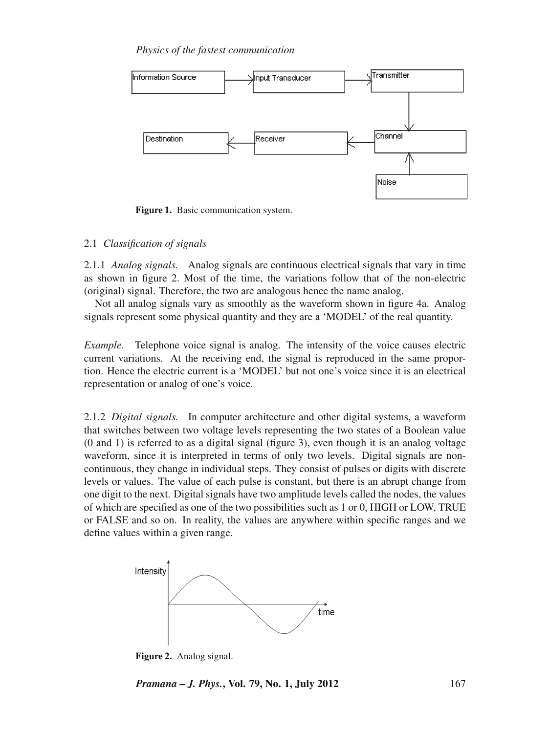*Physics of the fastest communication*



**Figure 1.** Basic communication system.

## 2.1 *Classification of signals*

2.1.1 *Analog signals.* Analog signals are continuous electrical signals that vary in time as shown in figure 2. Most of the time, the variations follow that of the non-electric (original) signal. Therefore, the two are analogous hence the name analog.

Not all analog signals vary as smoothly as the waveform shown in figure 4a. Analog signals represent some physical quantity and they are a 'MODEL' of the real quantity.

*Example.* Telephone voice signal is analog. The intensity of the voice causes electric current variations. At the receiving end, the signal is reproduced in the same proportion. Hence the electric current is a 'MODEL' but not one's voice since it is an electrical representation or analog of one's voice.

2.1.2 *Digital signals.* In computer architecture and other digital systems, a waveform that switches between two voltage levels representing the two states of a Boolean value (0 and 1) is referred to as a digital signal (figure 3), even though it is an analog voltage waveform, since it is interpreted in terms of only two levels. Digital signals are noncontinuous, they change in individual steps. They consist of pulses or digits with discrete levels or values. The value of each pulse is constant, but there is an abrupt change from one digit to the next. Digital signals have two amplitude levels called the nodes, the values of which are specified as one of the two possibilities such as 1 or 0, HIGH or LOW, TRUE or FALSE and so on. In reality, the values are anywhere within specific ranges and we define values within a given range.



**Figure 2.** Analog signal.

*Pramana – J. Phys.***, Vol. 79, No. 1, July 2012** 167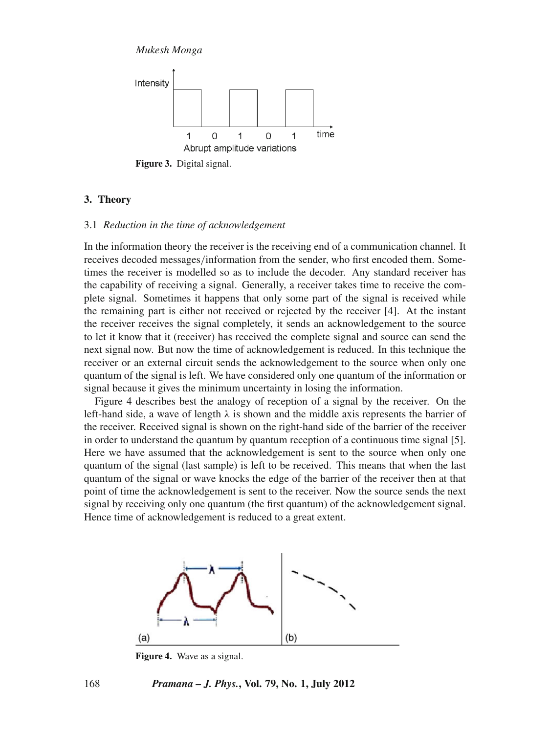

**Figure 3.** Digital signal.

#### **3. Theory**

#### 3.1 *Reduction in the time of acknowledgement*

In the information theory the receiver is the receiving end of a communication channel. It receives decoded messages/information from the sender, who first encoded them. Sometimes the receiver is modelled so as to include the decoder. Any standard receiver has the capability of receiving a signal. Generally, a receiver takes time to receive the complete signal. Sometimes it happens that only some part of the signal is received while the remaining part is either not received or rejected by the receiver [4]. At the instant the receiver receives the signal completely, it sends an acknowledgement to the source to let it know that it (receiver) has received the complete signal and source can send the next signal now. But now the time of acknowledgement is reduced. In this technique the receiver or an external circuit sends the acknowledgement to the source when only one quantum of the signal is left. We have considered only one quantum of the information or signal because it gives the minimum uncertainty in losing the information.

Figure 4 describes best the analogy of reception of a signal by the receiver. On the left-hand side, a wave of length  $\lambda$  is shown and the middle axis represents the barrier of the receiver. Received signal is shown on the right-hand side of the barrier of the receiver in order to understand the quantum by quantum reception of a continuous time signal [5]. Here we have assumed that the acknowledgement is sent to the source when only one quantum of the signal (last sample) is left to be received. This means that when the last quantum of the signal or wave knocks the edge of the barrier of the receiver then at that point of time the acknowledgement is sent to the receiver. Now the source sends the next signal by receiving only one quantum (the first quantum) of the acknowledgement signal. Hence time of acknowledgement is reduced to a great extent.



**Figure 4.** Wave as a signal.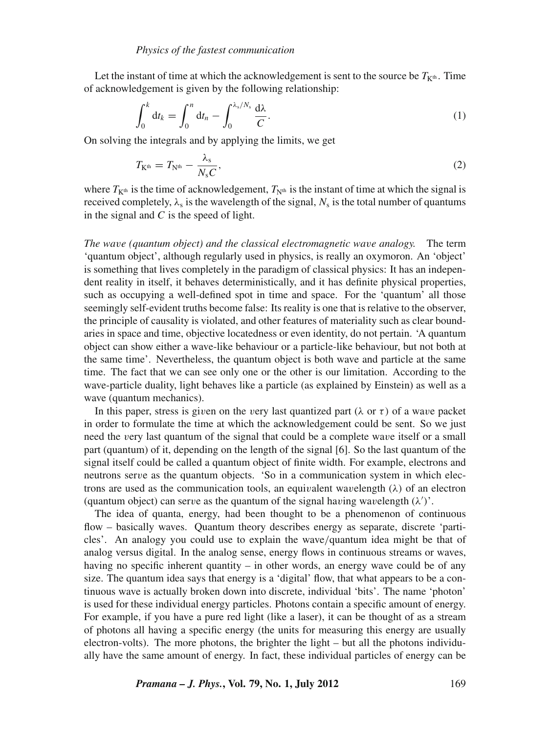Let the instant of time at which the acknowledgement is sent to the source be  $T_{K<sup>th</sup>}$ . Time of acknowledgement is given by the following relationship:

$$
\int_0^k \mathrm{d}t_k = \int_0^n \mathrm{d}t_n - \int_0^{\lambda_s/N_s} \frac{\mathrm{d}\lambda}{C}.\tag{1}
$$

On solving the integrals and by applying the limits, we get

$$
T_{\mathcal{K}^{\text{th}}} = T_{\mathcal{N}^{\text{th}}} - \frac{\lambda_{\mathcal{S}}}{N_{\mathcal{S}}C},\tag{2}
$$

where  $T_{K<sup>th</sup>}$  is the time of acknowledgement,  $T_{N<sup>th</sup>}$  is the instant of time at which the signal is received completely,  $\lambda_s$  is the wavelength of the signal,  $N_s$  is the total number of quantums in the signal and *C* is the speed of light.

*The wa*v*e (quantum object) and the classical electromagnetic wa*v*e analogy.* The term 'quantum object', although regularly used in physics, is really an oxymoron. An 'object' is something that lives completely in the paradigm of classical physics: It has an independent reality in itself, it behaves deterministically, and it has definite physical properties, such as occupying a well-defined spot in time and space. For the 'quantum' all those seemingly self-evident truths become false: Its reality is one that is relative to the observer, the principle of causality is violated, and other features of materiality such as clear boundaries in space and time, objective locatedness or even identity, do not pertain. 'A quantum object can show either a wave-like behaviour or a particle-like behaviour, but not both at the same time'. Nevertheless, the quantum object is both wave and particle at the same time. The fact that we can see only one or the other is our limitation. According to the wave-particle duality, light behaves like a particle (as explained by Einstein) as well as a wave (quantum mechanics).

In this paper, stress is given on the very last quantized part ( $\lambda$  or  $\tau$ ) of a wave packet in order to formulate the time at which the acknowledgement could be sent. So we just need the very last quantum of the signal that could be a complete wave itself or a small part (quantum) of it, depending on the length of the signal [6]. So the last quantum of the signal itself could be called a quantum object of finite width. For example, electrons and neutrons serve as the quantum objects. 'So in a communication system in which electrons are used as the communication tools, an equivalent wavelength  $(\lambda)$  of an electron (quantum object) can serve as the quantum of the signal having wavelength  $(\lambda')'$ .

The idea of quanta, energy, had been thought to be a phenomenon of continuous flow – basically waves. Quantum theory describes energy as separate, discrete 'particles'. An analogy you could use to explain the wave/quantum idea might be that of analog versus digital. In the analog sense, energy flows in continuous streams or waves, having no specific inherent quantity – in other words, an energy wave could be of any size. The quantum idea says that energy is a 'digital' flow, that what appears to be a continuous wave is actually broken down into discrete, individual 'bits'. The name 'photon' is used for these individual energy particles. Photons contain a specific amount of energy. For example, if you have a pure red light (like a laser), it can be thought of as a stream of photons all having a specific energy (the units for measuring this energy are usually electron-volts). The more photons, the brighter the light – but all the photons individually have the same amount of energy. In fact, these individual particles of energy can be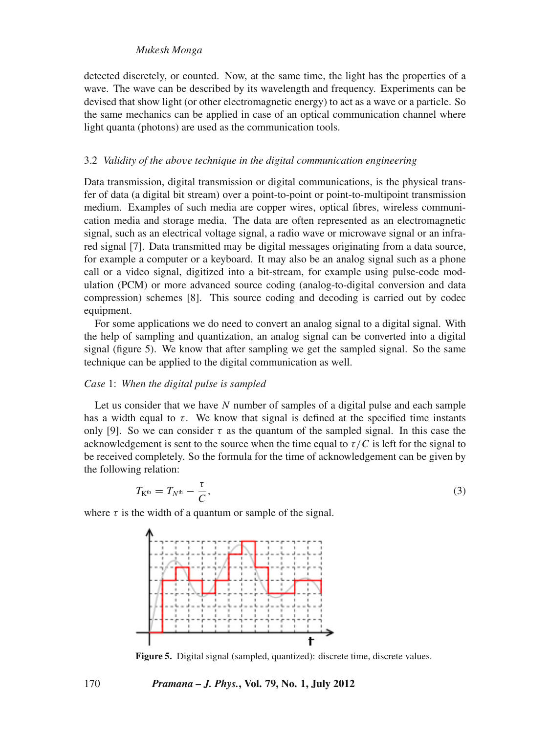## *Mukesh Monga*

detected discretely, or counted. Now, at the same time, the light has the properties of a wave. The wave can be described by its wavelength and frequency. Experiments can be devised that show light (or other electromagnetic energy) to act as a wave or a particle. So the same mechanics can be applied in case of an optical communication channel where light quanta (photons) are used as the communication tools.

#### 3.2 *Validity of the abo*v*e technique in the digital communication engineering*

Data transmission, digital transmission or digital communications, is the physical transfer of data (a digital bit stream) over a point-to-point or point-to-multipoint transmission medium. Examples of such media are copper wires, optical fibres, wireless communication media and storage media. The data are often represented as an electromagnetic signal, such as an electrical voltage signal, a radio wave or microwave signal or an infrared signal [7]. Data transmitted may be digital messages originating from a data source, for example a computer or a keyboard. It may also be an analog signal such as a phone call or a video signal, digitized into a bit-stream, for example using pulse-code modulation (PCM) or more advanced source coding (analog-to-digital conversion and data compression) schemes [8]. This source coding and decoding is carried out by codec equipment.

For some applications we do need to convert an analog signal to a digital signal. With the help of sampling and quantization, an analog signal can be converted into a digital signal (figure 5). We know that after sampling we get the sampled signal. So the same technique can be applied to the digital communication as well.

#### *Case* 1: *When the digital pulse is sampled*

Let us consider that we have *N* number of samples of a digital pulse and each sample has a width equal to  $\tau$ . We know that signal is defined at the specified time instants only [9]. So we can consider  $\tau$  as the quantum of the sampled signal. In this case the acknowledgement is sent to the source when the time equal to  $\tau/C$  is left for the signal to be received completely. So the formula for the time of acknowledgement can be given by the following relation:

$$
T_{\mathcal{K}^{\text{th}}} = T_{N^{\text{th}}} - \frac{\tau}{C},\tag{3}
$$

where  $\tau$  is the width of a quantum or sample of the signal.



**Figure 5.** Digital signal (sampled, quantized): discrete time, discrete values.

170 *Pramana – J. Phys.***, Vol. 79, No. 1, July 2012**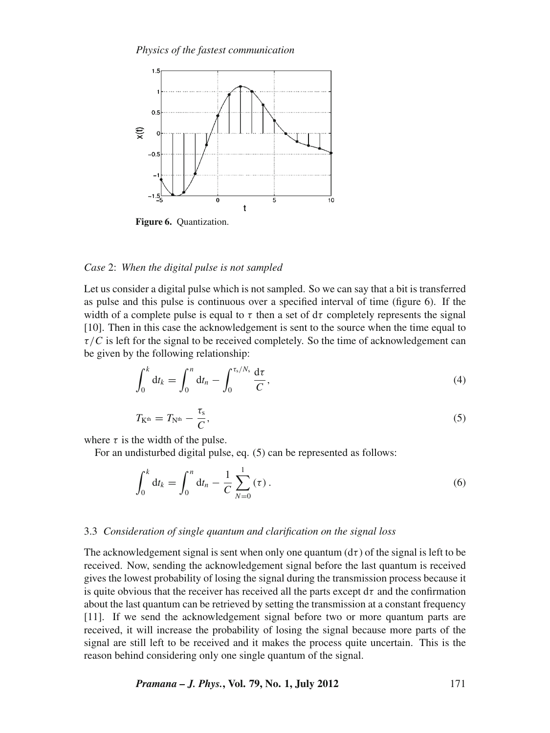

**Figure 6.** Quantization.

#### *Case* 2: *When the digital pulse is not sampled*

Let us consider a digital pulse which is not sampled. So we can say that a bit is transferred as pulse and this pulse is continuous over a specified interval of time (figure 6). If the width of a complete pulse is equal to  $\tau$  then a set of d $\tau$  completely represents the signal [10]. Then in this case the acknowledgement is sent to the source when the time equal to  $\tau/C$  is left for the signal to be received completely. So the time of acknowledgement can be given by the following relationship:

$$
\int_0^k \mathrm{d}t_k = \int_0^n \mathrm{d}t_n - \int_0^{\tau_s/N_s} \frac{\mathrm{d}\tau}{C},\tag{4}
$$

$$
T_{\mathbf{K}^{\text{th}}} = T_{\mathbf{N}^{\text{th}}} - \frac{\tau_{\text{s}}}{C},\tag{5}
$$

where  $\tau$  is the width of the pulse.

For an undisturbed digital pulse, eq. (5) can be represented as follows:

$$
\int_0^k dt_k = \int_0^n dt_n - \frac{1}{C} \sum_{N=0}^1 (\tau).
$$
 (6)

#### 3.3 *Consideration of single quantum and clarification on the signal loss*

The acknowledgement signal is sent when only one quantum  $(d\tau)$  of the signal is left to be received. Now, sending the acknowledgement signal before the last quantum is received gives the lowest probability of losing the signal during the transmission process because it is quite obvious that the receiver has received all the parts except  $d\tau$  and the confirmation about the last quantum can be retrieved by setting the transmission at a constant frequency [11]. If we send the acknowledgement signal before two or more quantum parts are received, it will increase the probability of losing the signal because more parts of the signal are still left to be received and it makes the process quite uncertain. This is the reason behind considering only one single quantum of the signal.